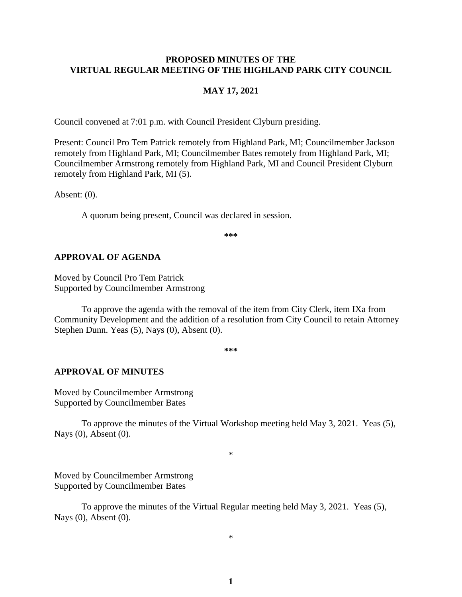### **PROPOSED MINUTES OF THE VIRTUAL REGULAR MEETING OF THE HIGHLAND PARK CITY COUNCIL**

#### **MAY 17, 2021**

Council convened at 7:01 p.m. with Council President Clyburn presiding.

Present: Council Pro Tem Patrick remotely from Highland Park, MI; Councilmember Jackson remotely from Highland Park, MI; Councilmember Bates remotely from Highland Park, MI; Councilmember Armstrong remotely from Highland Park, MI and Council President Clyburn remotely from Highland Park, MI (5).

Absent: (0).

A quorum being present, Council was declared in session.

**\*\*\***

#### **APPROVAL OF AGENDA**

Moved by Council Pro Tem Patrick Supported by Councilmember Armstrong

To approve the agenda with the removal of the item from City Clerk, item IXa from Community Development and the addition of a resolution from City Council to retain Attorney Stephen Dunn. Yeas (5), Nays (0), Absent (0).

**\*\*\***

#### **APPROVAL OF MINUTES**

Moved by Councilmember Armstrong Supported by Councilmember Bates

To approve the minutes of the Virtual Workshop meeting held May 3, 2021.Yeas (5), Nays (0), Absent (0).

\*

Moved by Councilmember Armstrong Supported by Councilmember Bates

To approve the minutes of the Virtual Regular meeting held May 3, 2021.Yeas (5), Nays (0), Absent (0).

\*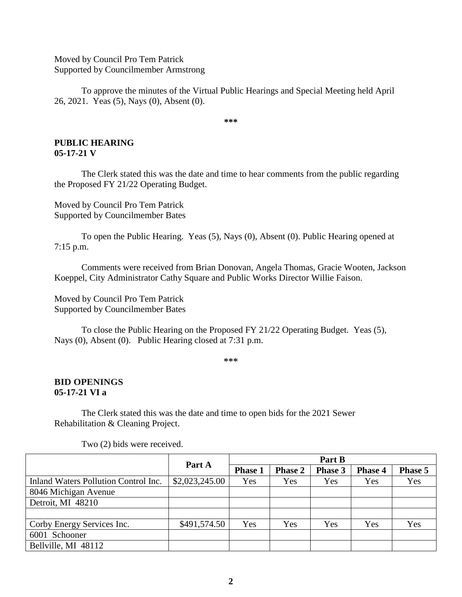Moved by Council Pro Tem Patrick Supported by Councilmember Armstrong

To approve the minutes of the Virtual Public Hearings and Special Meeting held April 26, 2021.Yeas (5), Nays (0), Absent (0).

**\*\*\***

#### **PUBLIC HEARING 05-17-21 V**

The Clerk stated this was the date and time to hear comments from the public regarding the Proposed FY 21/22 Operating Budget.

Moved by Council Pro Tem Patrick Supported by Councilmember Bates

To open the Public Hearing. Yeas (5), Nays (0), Absent (0). Public Hearing opened at 7:15 p.m.

Comments were received from Brian Donovan, Angela Thomas, Gracie Wooten, Jackson Koeppel, City Administrator Cathy Square and Public Works Director Willie Faison.

Moved by Council Pro Tem Patrick Supported by Councilmember Bates

To close the Public Hearing on the Proposed FY 21/22 Operating Budget. Yeas (5), Nays (0), Absent (0). Public Hearing closed at 7:31 p.m.

**\*\*\***

# **BID OPENINGS 05-17-21 VI a**

The Clerk stated this was the date and time to open bids for the 2021 Sewer Rehabilitation & Cleaning Project.

|                                      |                | Part B         |                |         |                |         |
|--------------------------------------|----------------|----------------|----------------|---------|----------------|---------|
|                                      | Part A         | <b>Phase 1</b> | <b>Phase 2</b> | Phase 3 | <b>Phase 4</b> | Phase 5 |
| Inland Waters Pollution Control Inc. | \$2,023,245.00 | Yes            | Yes            | Yes     | Yes            | Yes     |
| 8046 Michigan Avenue                 |                |                |                |         |                |         |
| Detroit, MI 48210                    |                |                |                |         |                |         |
|                                      |                |                |                |         |                |         |
| Corby Energy Services Inc.           | \$491,574.50   | Yes            | Yes            | Yes     | Yes            | Yes     |
| 6001 Schooner                        |                |                |                |         |                |         |
| Bellville, MI 48112                  |                |                |                |         |                |         |

Two (2) bids were received.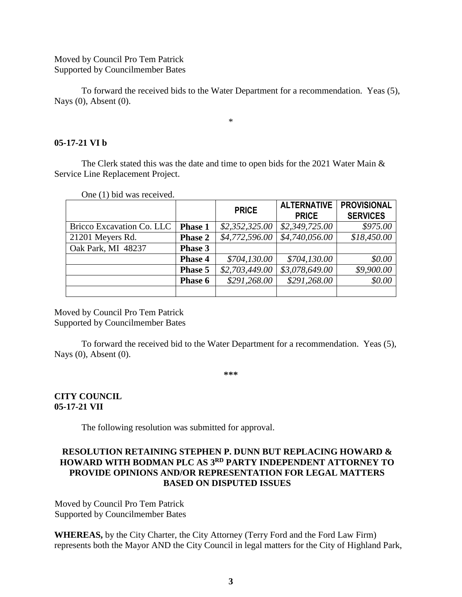Moved by Council Pro Tem Patrick Supported by Councilmember Bates

To forward the received bids to the Water Department for a recommendation. Yeas (5), Nays (0), Absent (0).

\*

### **05-17-21 VI b**

The Clerk stated this was the date and time to open bids for the 2021 Water Main  $\&$ Service Line Replacement Project.

|                           |                | <b>PRICE</b>   | <b>ALTERNATIVE</b><br><b>PRICE</b> | <b>PROVISIONAL</b><br><b>SERVICES</b> |
|---------------------------|----------------|----------------|------------------------------------|---------------------------------------|
| Bricco Excavation Co. LLC | <b>Phase 1</b> | \$2,352,325.00 | \$2,349,725.00                     | \$975.00                              |
| 21201 Meyers Rd.          | <b>Phase 2</b> | \$4,772,596.00 | \$4,740,056.00                     | \$18,450.00                           |
| Oak Park, MI 48237        | <b>Phase 3</b> |                |                                    |                                       |
|                           | <b>Phase 4</b> | \$704,130.00   | \$704,130.00                       | \$0.00                                |
|                           | <b>Phase 5</b> | \$2,703,449.00 | \$3,078,649.00                     | \$9,900.00                            |
|                           | <b>Phase 6</b> | \$291,268.00   | \$291,268.00                       | \$0.00                                |
|                           |                |                |                                    |                                       |

One (1) bid was received.

Moved by Council Pro Tem Patrick Supported by Councilmember Bates

To forward the received bid to the Water Department for a recommendation. Yeas (5), Nays (0), Absent (0).

**\*\*\***

# **CITY COUNCIL 05-17-21 VII**

The following resolution was submitted for approval.

## **RESOLUTION RETAINING STEPHEN P. DUNN BUT REPLACING HOWARD & HOWARD WITH BODMAN PLC AS 3 RD PARTY INDEPENDENT ATTORNEY TO PROVIDE OPINIONS AND/OR REPRESENTATION FOR LEGAL MATTERS BASED ON DISPUTED ISSUES**

Moved by Council Pro Tem Patrick Supported by Councilmember Bates

**WHEREAS,** by the City Charter, the City Attorney (Terry Ford and the Ford Law Firm) represents both the Mayor AND the City Council in legal matters for the City of Highland Park,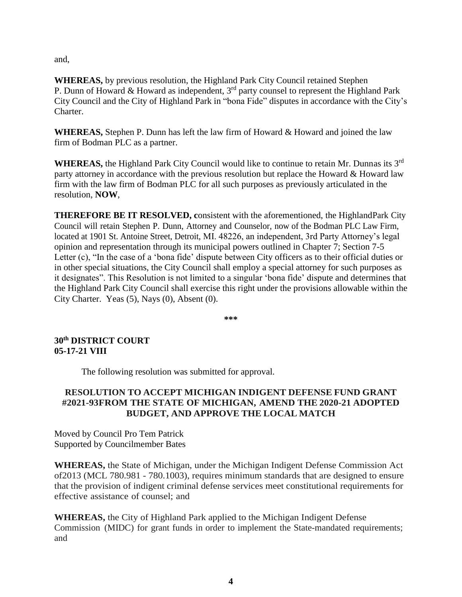and,

**WHEREAS,** by previous resolution, the Highland Park City Council retained Stephen P. Dunn of Howard & Howard as independent,  $3<sup>rd</sup>$  party counsel to represent the Highland Park City Council and the City of Highland Park in "bona Fide" disputes in accordance with the City's Charter.

**WHEREAS,** Stephen P. Dunn has left the law firm of Howard & Howard and joined the law firm of Bodman PLC as a partner.

**WHEREAS,** the Highland Park City Council would like to continue to retain Mr. Dunnas its 3rd party attorney in accordance with the previous resolution but replace the Howard & Howard law firm with the law firm of Bodman PLC for all such purposes as previously articulated in the resolution, **NOW**,

**THEREFORE BE IT RESOLVED, c**onsistent with the aforementioned, the HighlandPark City Council will retain Stephen P. Dunn, Attorney and Counselor, now of the Bodman PLC Law Firm, located at 1901 St. Antoine Street, Detroit, MI. 48226, an independent, 3rd Party Attorney's legal opinion and representation through its municipal powers outlined in Chapter 7; Section 7-5 Letter (c), "In the case of a 'bona fide' dispute between City officers as to their official duties or in other special situations, the City Council shall employ a special attorney for such purposes as it designates". This Resolution is not limited to a singular 'bona fide' dispute and determines that the Highland Park City Council shall exercise this right under the provisions allowable within the City Charter. Yeas (5), Nays (0), Absent (0).

**\*\*\***

**30th DISTRICT COURT 05-17-21 VIII**

The following resolution was submitted for approval.

# **RESOLUTION TO ACCEPT MICHIGAN INDIGENT DEFENSE FUND GRANT #2021-93FROM THE STATE OF MICHIGAN, AMEND THE 2020-21 ADOPTED BUDGET, AND APPROVE THE LOCAL MATCH**

Moved by Council Pro Tem Patrick Supported by Councilmember Bates

**WHEREAS,** the State of Michigan, under the Michigan Indigent Defense Commission Act of2013 (MCL 780.981 - 780.1003), requires minimum standards that are designed to ensure that the provision of indigent criminal defense services meet constitutional requirements for effective assistance of counsel; and

**WHEREAS,** the City of Highland Park applied to the Michigan Indigent Defense Commission (MIDC) for grant funds in order to implement the State-mandated requirements; and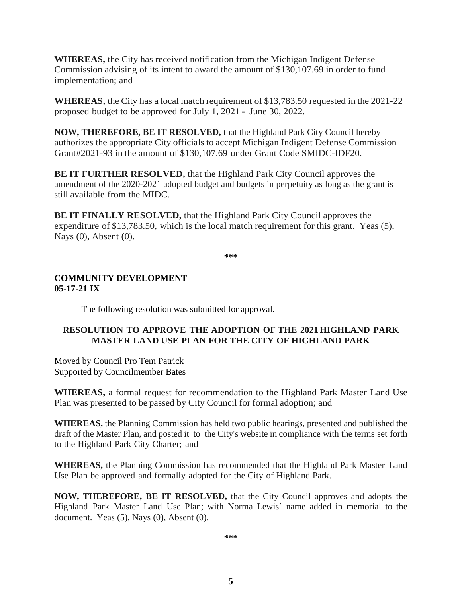**WHEREAS,** the City has received notification from the Michigan Indigent Defense Commission advising of its intent to award the amount of \$130,107.69 in order to fund implementation; and

**WHEREAS,** the City has a local match requirement of \$13,783.50 requested in the 2021-22 proposed budget to be approved for July 1, 2021 - June 30, 2022.

**NOW, THEREFORE, BE IT RESOLVED,** that the Highland Park City Council hereby authorizes the appropriate City officials to accept Michigan Indigent Defense Commission Grant#2021-93 in the amount of \$130,107.69 under Grant Code SMIDC-IDF20.

**BE IT FURTHER RESOLVED,** that the Highland Park City Council approves the amendment of the 2020-2021 adopted budget and budgets in perpetuity as long as the grant is still available from the MIDC.

**BE IT FINALLY RESOLVED,** that the Highland Park City Council approves the expenditure of \$13,783.50, which is the local match requirement for this grant. Yeas (5), Nays (0), Absent (0).

**\*\*\***

# **COMMUNITY DEVELOPMENT 05-17-21 IX**

The following resolution was submitted for approval.

# **RESOLUTION TO APPROVE THE ADOPTION OF THE 2021 HIGHLAND PARK MASTER LAND USE PLAN FOR THE CITY OF HIGHLAND PARK**

Moved by Council Pro Tem Patrick Supported by Councilmember Bates

**WHEREAS,** a formal request for recommendation to the Highland Park Master Land Use Plan was presented to be passed by City Council for formal adoption; and

**WHEREAS,** the Planning Commission has held two public hearings, presented and published the draft of the Master Plan, and posted it to the City's website in compliance with the terms set forth to the Highland Park City Charter; and

**WHEREAS,** the Planning Commission has recommended that the Highland Park Master Land Use Plan be approved and formally adopted for the City of Highland Park.

**NOW, THEREFORE, BE IT RESOLVED,** that the City Council approves and adopts the Highland Park Master Land Use Plan; with Norma Lewis' name added in memorial to the document. Yeas (5), Nays (0), Absent (0).

**\*\*\***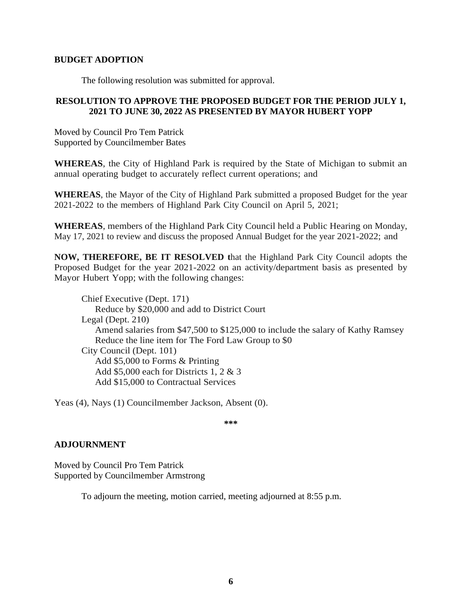## **BUDGET ADOPTION**

The following resolution was submitted for approval.

# **RESOLUTION TO APPROVE THE PROPOSED BUDGET FOR THE PERIOD JULY 1, 2021 TO JUNE 30, 2022 AS PRESENTED BY MAYOR HUBERT YOPP**

Moved by Council Pro Tem Patrick Supported by Councilmember Bates

**WHEREAS**, the City of Highland Park is required by the State of Michigan to submit an annual operating budget to accurately reflect current operations; and

**WHEREAS**, the Mayor of the City of Highland Park submitted a proposed Budget for the year 2021-2022 to the members of Highland Park City Council on April 5, 2021;

**WHEREAS**, members of the Highland Park City Council held a Public Hearing on Monday, May 17, 2021 to review and discuss the proposed Annual Budget for the year 2021-2022; and

**NOW, THEREFORE, BE IT RESOLVED t**hat the Highland Park City Council adopts the Proposed Budget for the year 2021-2022 on an activity/department basis as presented by Mayor Hubert Yopp; with the following changes:

Chief Executive (Dept. 171) Reduce by \$20,000 and add to District Court Legal (Dept. 210) Amend salaries from  $$47,500$  to  $$125,000$  to include the salary of Kathy Ramsey Reduce the line item for The Ford Law Group to \$0 City Council (Dept. 101) Add \$5,000 to Forms & Printing Add \$5,000 each for Districts 1, 2 & 3 Add \$15,000 to Contractual Services

Yeas (4), Nays (1) Councilmember Jackson, Absent (0).

**\*\*\***

## **ADJOURNMENT**

Moved by Council Pro Tem Patrick Supported by Councilmember Armstrong

To adjourn the meeting, motion carried, meeting adjourned at 8:55 p.m.